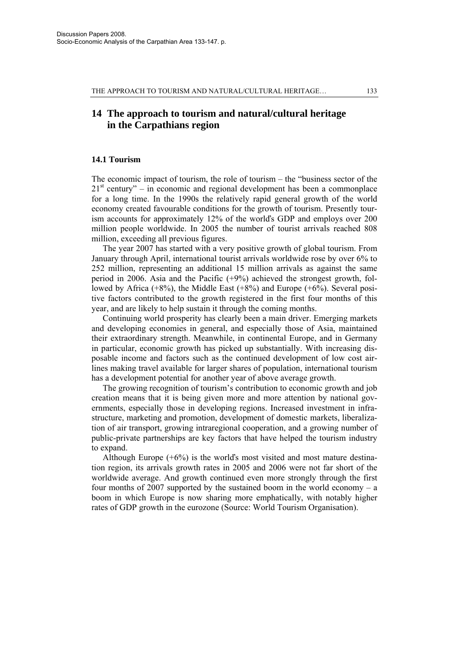# **14 The approach to tourism and natural/cultural heritage in the Carpathians region**

# **14.1 Tourism**

The economic impact of tourism, the role of tourism – the "business sector of the  $21<sup>st</sup>$  century" – in economic and regional development has been a commonplace for a long time. In the 1990s the relatively rapid general growth of the world economy created favourable conditions for the growth of tourism. Presently tourism accounts for approximately 12% of the worlďs GDP and employs over 200 million people worldwide. In 2005 the number of tourist arrivals reached 808 million, exceeding all previous figures.

The year 2007 has started with a very positive growth of global tourism. From January through April, international tourist arrivals worldwide rose by over 6% to 252 million, representing an additional 15 million arrivals as against the same period in 2006. Asia and the Pacific (+9%) achieved the strongest growth, followed by Africa  $(+8\%)$ , the Middle East  $(+8\%)$  and Europe  $(+6\%)$ . Several positive factors contributed to the growth registered in the first four months of this year, and are likely to help sustain it through the coming months.

Continuing world prosperity has clearly been a main driver. Emerging markets and developing economies in general, and especially those of Asia, maintained their extraordinary strength. Meanwhile, in continental Europe, and in Germany in particular, economic growth has picked up substantially. With increasing disposable income and factors such as the continued development of low cost airlines making travel available for larger shares of population, international tourism has a development potential for another year of above average growth.

The growing recognition of tourism's contribution to economic growth and job creation means that it is being given more and more attention by national governments, especially those in developing regions. Increased investment in infrastructure, marketing and promotion, development of domestic markets, liberalization of air transport, growing intraregional cooperation, and a growing number of public-private partnerships are key factors that have helped the tourism industry to expand.

Although Europe (+6%) is the worlďs most visited and most mature destination region, its arrivals growth rates in 2005 and 2006 were not far short of the worldwide average. And growth continued even more strongly through the first four months of 2007 supported by the sustained boom in the world economy – a boom in which Europe is now sharing more emphatically, with notably higher rates of GDP growth in the eurozone (Source: World Tourism Organisation).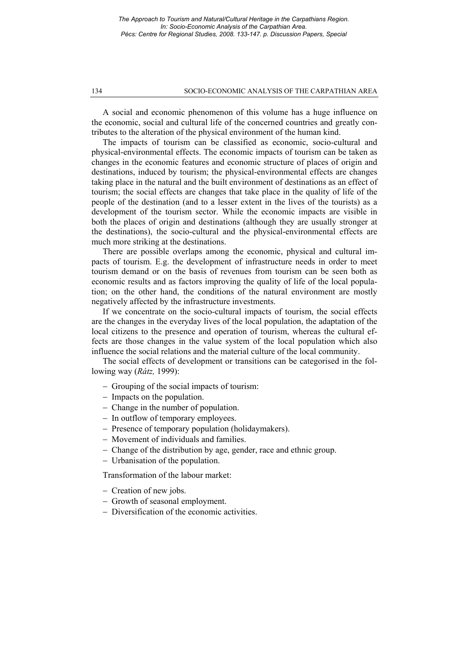*The Approach to Tourism and Natural/Cultural Heritage in the Carpathians Region. In: Socio-Economic Analysis of the Carpathian Area. Pécs: Centre for Regional Studies, 2008. 133-147. p. Discussion Papers, Special* 

#### 134 SOCIO-ECONOMIC ANALYSIS OF THE CARPATHIAN AREA

A social and economic phenomenon of this volume has a huge influence on the economic, social and cultural life of the concerned countries and greatly contributes to the alteration of the physical environment of the human kind.

The impacts of tourism can be classified as economic, socio-cultural and physical-environmental effects. The economic impacts of tourism can be taken as changes in the economic features and economic structure of places of origin and destinations, induced by tourism; the physical-environmental effects are changes taking place in the natural and the built environment of destinations as an effect of tourism; the social effects are changes that take place in the quality of life of the people of the destination (and to a lesser extent in the lives of the tourists) as a development of the tourism sector. While the economic impacts are visible in both the places of origin and destinations (although they are usually stronger at the destinations), the socio-cultural and the physical-environmental effects are much more striking at the destinations.

There are possible overlaps among the economic, physical and cultural impacts of tourism. E.g. the development of infrastructure needs in order to meet tourism demand or on the basis of revenues from tourism can be seen both as economic results and as factors improving the quality of life of the local population; on the other hand, the conditions of the natural environment are mostly negatively affected by the infrastructure investments.

If we concentrate on the socio-cultural impacts of tourism, the social effects are the changes in the everyday lives of the local population, the adaptation of the local citizens to the presence and operation of tourism, whereas the cultural effects are those changes in the value system of the local population which also influence the social relations and the material culture of the local community.

The social effects of development or transitions can be categorised in the following way (*Rátz,* 1999):

- Grouping of the social impacts of tourism:
- Impacts on the population.
- Change in the number of population.
- In outflow of temporary employees.
- Presence of temporary population (holidaymakers).
- Movement of individuals and families.
- Change of the distribution by age, gender, race and ethnic group.
- Urbanisation of the population.

Transformation of the labour market:

- Creation of new jobs.
- Growth of seasonal employment.
- Diversification of the economic activities.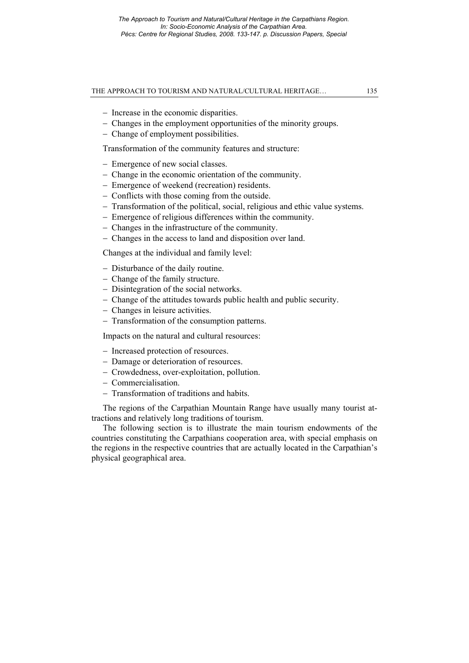- Increase in the economic disparities.
- Changes in the employment opportunities of the minority groups.
- Change of employment possibilities.

Transformation of the community features and structure:

- Emergence of new social classes.
- Change in the economic orientation of the community.
- Emergence of weekend (recreation) residents.
- Conflicts with those coming from the outside.
- Transformation of the political, social, religious and ethic value systems.
- Emergence of religious differences within the community.
- Changes in the infrastructure of the community.
- Changes in the access to land and disposition over land.

Changes at the individual and family level:

- Disturbance of the daily routine.
- Change of the family structure.
- Disintegration of the social networks.
- Change of the attitudes towards public health and public security.
- Changes in leisure activities.
- Transformation of the consumption patterns.

Impacts on the natural and cultural resources:

- Increased protection of resources.
- Damage or deterioration of resources.
- Crowdedness, over-exploitation, pollution.
- Commercialisation.
- Transformation of traditions and habits.

The regions of the Carpathian Mountain Range have usually many tourist attractions and relatively long traditions of tourism.

The following section is to illustrate the main tourism endowments of the countries constituting the Carpathians cooperation area, with special emphasis on the regions in the respective countries that are actually located in the Carpathian's physical geographical area.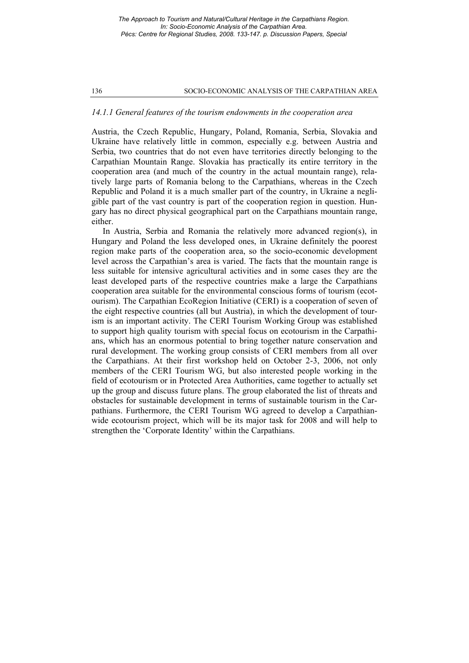*The Approach to Tourism and Natural/Cultural Heritage in the Carpathians Region. In: Socio-Economic Analysis of the Carpathian Area. Pécs: Centre for Regional Studies, 2008. 133-147. p. Discussion Papers, Special* 

#### 136 SOCIO-ECONOMIC ANALYSIS OF THE CARPATHIAN AREA

# *14.1.1 General features of the tourism endowments in the cooperation area*

Austria, the Czech Republic, Hungary, Poland, Romania, Serbia, Slovakia and Ukraine have relatively little in common, especially e.g. between Austria and Serbia, two countries that do not even have territories directly belonging to the Carpathian Mountain Range. Slovakia has practically its entire territory in the cooperation area (and much of the country in the actual mountain range), relatively large parts of Romania belong to the Carpathians, whereas in the Czech Republic and Poland it is a much smaller part of the country, in Ukraine a negligible part of the vast country is part of the cooperation region in question. Hungary has no direct physical geographical part on the Carpathians mountain range, either.

In Austria, Serbia and Romania the relatively more advanced region(s), in Hungary and Poland the less developed ones, in Ukraine definitely the poorest region make parts of the cooperation area, so the socio-economic development level across the Carpathian's area is varied. The facts that the mountain range is less suitable for intensive agricultural activities and in some cases they are the least developed parts of the respective countries make a large the Carpathians cooperation area suitable for the environmental conscious forms of tourism (ecotourism). The Carpathian EcoRegion Initiative (CERI) is a cooperation of seven of the eight respective countries (all but Austria), in which the development of tourism is an important activity. The CERI Tourism Working Group was established to support high quality tourism with special focus on ecotourism in the Carpathians, which has an enormous potential to bring together nature conservation and rural development. The working group consists of CERI members from all over the Carpathians. At their first workshop held on October 2-3, 2006, not only members of the CERI Tourism WG, but also interested people working in the field of ecotourism or in Protected Area Authorities, came together to actually set up the group and discuss future plans. The group elaborated the list of threats and obstacles for sustainable development in terms of sustainable tourism in the Carpathians. Furthermore, the CERI Tourism WG agreed to develop a Carpathianwide ecotourism project, which will be its major task for 2008 and will help to strengthen the 'Corporate Identity' within the Carpathians.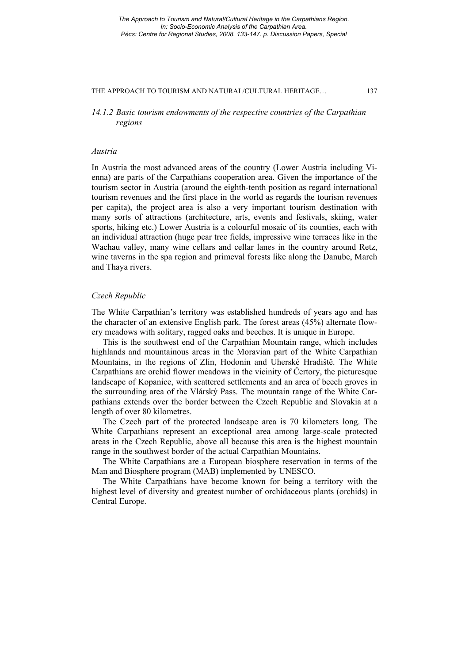*14.1.2 Basic tourism endowments of the respective countries of the Carpathian regions* 

# *Austria*

In Austria the most advanced areas of the country (Lower Austria including Vienna) are parts of the Carpathians cooperation area. Given the importance of the tourism sector in Austria (around the eighth-tenth position as regard international tourism revenues and the first place in the world as regards the tourism revenues per capita), the project area is also a very important tourism destination with many sorts of attractions (architecture, arts, events and festivals, skiing, water sports, hiking etc.) Lower Austria is a colourful mosaic of its counties, each with an individual attraction (huge pear tree fields, impressive wine terraces like in the Wachau valley, many wine cellars and cellar lanes in the country around Retz, wine taverns in the spa region and primeval forests like along the Danube, March and Thaya rivers.

# *Czech Republic*

The White Carpathian's territory was established hundreds of years ago and has the character of an extensive English park. The forest areas (45%) alternate flowery meadows with solitary, ragged oaks and beeches. It is unique in Europe.

This is the southwest end of the Carpathian Mountain range, which includes highlands and mountainous areas in the Moravian part of the White Carpathian Mountains, in the regions of Zlín, Hodonín and Uherské Hradiště. The White Carpathians are orchid flower meadows in the vicinity of Čertory, the picturesque landscape of Kopanice, with scattered settlements and an area of beech groves in the surrounding area of the Vlárský Pass. The mountain range of the White Carpathians extends over the border between the Czech Republic and Slovakia at a length of over 80 kilometres.

The Czech part of the protected landscape area is 70 kilometers long. The White Carpathians represent an exceptional area among large-scale protected areas in the Czech Republic, above all because this area is the highest mountain range in the southwest border of the actual Carpathian Mountains.

The White Carpathians are a European biosphere reservation in terms of the Man and Biosphere program (MAB) implemented by UNESCO.

The White Carpathians have become known for being a territory with the highest level of diversity and greatest number of orchidaceous plants (orchids) in Central Europe.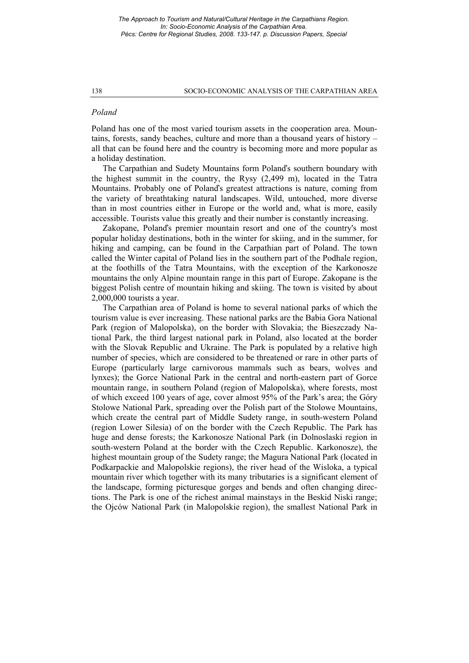# *Poland*

Poland has one of the most varied tourism assets in the cooperation area. Mountains, forests, sandy beaches, culture and more than a thousand years of history – all that can be found here and the country is becoming more and more popular as a holiday destination.

The Carpathian and Sudety Mountains form Polanďs southern boundary with the highest summit in the country, the Rysy (2,499 m), located in the Tatra Mountains. Probably one of Polanďs greatest attractions is nature, coming from the variety of breathtaking natural landscapes. Wild, untouched, more diverse than in most countries either in Europe or the world and, what is more, easily accessible. Tourists value this greatly and their number is constantly increasing.

Zakopane, Polanďs premier mountain resort and one of the country's most popular holiday destinations, both in the winter for skiing, and in the summer, for hiking and camping, can be found in the Carpathian part of Poland. The town called the Winter capital of Poland lies in the southern part of the Podhale region, at the foothills of the Tatra Mountains, with the exception of the Karkonosze mountains the only Alpine mountain range in this part of Europe. Zakopane is the biggest Polish centre of mountain hiking and skiing. The town is visited by about 2,000,000 tourists a year.

The Carpathian area of Poland is home to several national parks of which the tourism value is ever increasing. These national parks are the Babia Gora National Park (region of Malopolska), on the border with Slovakia; the Bieszczady National Park, the third largest national park in Poland, also located at the border with the Slovak Republic and Ukraine. The Park is populated by a relative high number of species, which are considered to be threatened or rare in other parts of Europe (particularly large carnivorous mammals such as bears, wolves and lynxes); the Gorce National Park in the central and north-eastern part of Gorce mountain range, in southern Poland (region of Malopolska), where forests, most of which exceed 100 years of age, cover almost 95% of the Park's area; the Góry Stolowe National Park, spreading over the Polish part of the Stolowe Mountains, which create the central part of Middle Sudety range, in south-western Poland (region Lower Silesia) of on the border with the Czech Republic. The Park has huge and dense forests; the Karkonosze National Park (in Dolnoslaski region in south-western Poland at the border with the Czech Republic. Karkonosze), the highest mountain group of the Sudety range; the Magura National Park (located in Podkarpackie and Malopolskie regions), the river head of the Wisloka, a typical mountain river which together with its many tributaries is a significant element of the landscape, forming picturesque gorges and bends and often changing directions. The Park is one of the richest animal mainstays in the Beskid Niski range; the Ojców National Park (in Malopolskie region), the smallest National Park in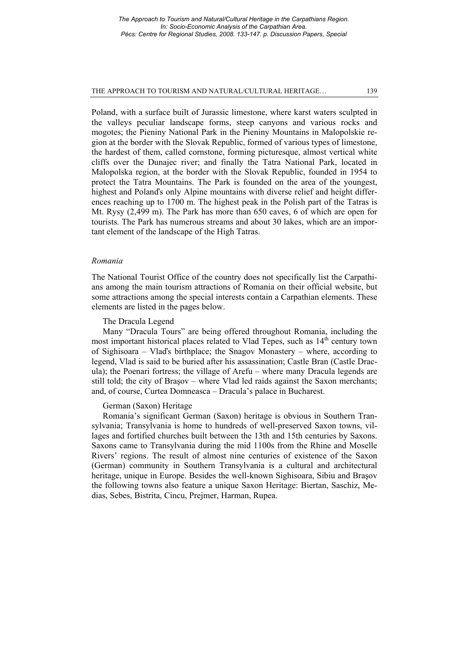Poland, with a surface built of Jurassic limestone, where karst waters sculpted in the valleys peculiar landscape forms, steep canyons and various rocks and mogotes; the Pieniny National Park in the Pieniny Mountains in Malopolskie region at the border with the Slovak Republic, formed of various types of limestone, the hardest of them, called cornstone, forming picturesque, almost vertical white cliffs over the Dunajec river; and finally the Tatra National Park, located in Malopolska region, at the border with the Slovak Republic, founded in 1954 to protect the Tatra Mountains. The Park is founded on the area of the youngest, highest and Polanďs only Alpine mountains with diverse relief and height differences reaching up to 1700 m. The highest peak in the Polish part of the Tatras is Mt. Rysy (2,499 m). The Park has more than 650 caves, 6 of which are open for tourists. The Park has numerous streams and about 30 lakes, which are an important element of the landscape of the High Tatras.

#### *Romania*

The National Tourist Office of the country does not specifically list the Carpathians among the main tourism attractions of Romania on their official website, but some attractions among the special interests contain a Carpathian elements. These elements are listed in the pages below.

#### The Dracula Legend

Many "Dracula Tours" are being offered throughout Romania, including the most important historical places related to Vlad Tepes, such as  $14<sup>th</sup>$  century town of Sighisoara – Vlaďs birthplace; the Snagov Monastery – where, according to legend, Vlad is said to be buried after his assassination; Castle Bran (Castle Dracula); the Poenari fortress; the village of Arefu – where many Dracula legends are still told; the city of Braşov – where Vlad led raids against the Saxon merchants; and, of course, Curtea Domneasca – Dracula's palace in Bucharest.

# German (Saxon) Heritage

Romania's significant German (Saxon) heritage is obvious in Southern Transylvania; Transylvania is home to hundreds of well-preserved Saxon towns, villages and fortified churches built between the 13th and 15th centuries by Saxons. Saxons came to Transylvania during the mid 1100s from the Rhine and Moselle Rivers' regions. The result of almost nine centuries of existence of the Saxon (German) community in Southern Transylvania is a cultural and architectural heritage, unique in Europe. Besides the well-known Sighisoara, Sibiu and Braşov the following towns also feature a unique Saxon Heritage: Biertan, Saschiz, Medias, Sebes, Bistrita, Cincu, Prejmer, Harman, Rupea.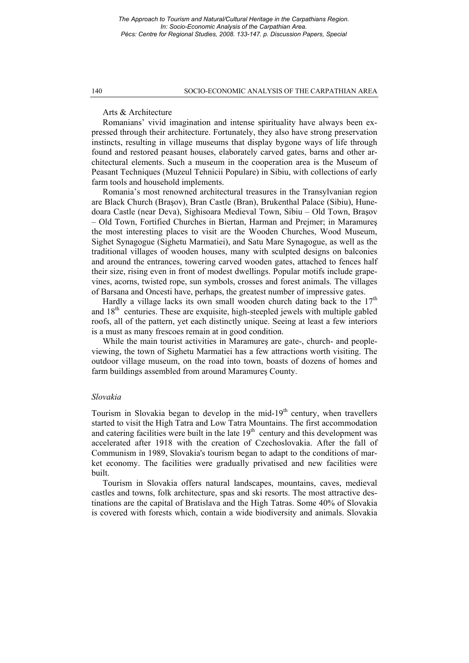# Arts & Architecture

Romanians' vivid imagination and intense spirituality have always been expressed through their architecture. Fortunately, they also have strong preservation instincts, resulting in village museums that display bygone ways of life through found and restored peasant houses, elaborately carved gates, barns and other architectural elements. Such a museum in the cooperation area is the Museum of Peasant Techniques (Muzeul Tehnicii Populare) in Sibiu, with collections of early farm tools and household implements.

Romania's most renowned architectural treasures in the Transylvanian region are Black Church (Braşov), Bran Castle (Bran), Brukenthal Palace (Sibiu), Hunedoara Castle (near Deva), Sighisoara Medieval Town, Sibiu – Old Town, Braşov – Old Town, Fortified Churches in Biertan, Harman and Prejmer; in Maramureş the most interesting places to visit are the Wooden Churches, Wood Museum, Sighet Synagogue (Sighetu Marmatiei), and Satu Mare Synagogue, as well as the traditional villages of wooden houses, many with sculpted designs on balconies and around the entrances, towering carved wooden gates, attached to fences half their size, rising even in front of modest dwellings. Popular motifs include grapevines, acorns, twisted rope, sun symbols, crosses and forest animals. The villages of Barsana and Oncesti have, perhaps, the greatest number of impressive gates.

Hardly a village lacks its own small wooden church dating back to the  $17<sup>th</sup>$ and 18<sup>th</sup> centuries. These are exquisite, high-steepled jewels with multiple gabled roofs, all of the pattern, yet each distinctly unique. Seeing at least a few interiors is a must as many frescoes remain at in good condition.

While the main tourist activities in Maramureş are gate-, church- and peopleviewing, the town of Sighetu Marmatiei has a few attractions worth visiting. The outdoor village museum, on the road into town, boasts of dozens of homes and farm buildings assembled from around Maramureş County.

# *Slovakia*

Tourism in Slovakia began to develop in the mid- $19<sup>th</sup>$  century, when travellers started to visit the High Tatra and Low Tatra Mountains. The first accommodation and catering facilities were built in the late  $19<sup>th</sup>$  century and this development was accelerated after 1918 with the creation of Czechoslovakia. After the fall of Communism in 1989, Slovakia's tourism began to adapt to the conditions of market economy. The facilities were gradually privatised and new facilities were built.

Tourism in Slovakia offers natural landscapes, mountains, caves, medieval castles and towns, folk architecture, spas and ski resorts. The most attractive destinations are the capital of Bratislava and the High Tatras. Some 40% of Slovakia is covered with forests which, contain a wide biodiversity and animals. Slovakia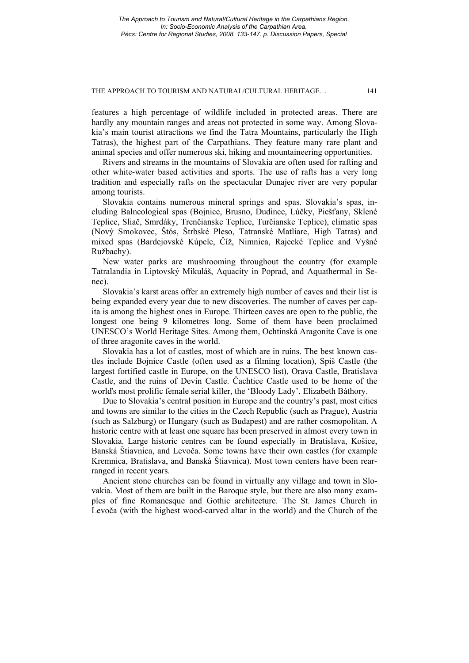features a high percentage of wildlife included in protected areas. There are hardly any mountain ranges and areas not protected in some way. Among Slovakia's main tourist attractions we find the Tatra Mountains, particularly the High Tatras), the highest part of the Carpathians. They feature many rare plant and animal species and offer numerous ski, hiking and mountaineering opportunities.

Rivers and streams in the mountains of Slovakia are often used for rafting and other white-water based activities and sports. The use of rafts has a very long tradition and especially rafts on the spectacular Dunajec river are very popular among tourists.

Slovakia contains numerous mineral springs and spas. Slovakia's spas, including Balneological spas (Bojnice, Brusno, Dudince, Lúčky, Piešťany, Sklené Teplice, Sliač, Smrdáky, Trenčianske Teplice, Turčianske Teplice), climatic spas (Nový Smokovec, Štós, Štrbské Pleso, Tatranské Matliare, High Tatras) and mixed spas (Bardejovské Kúpele, Číž, Nimnica, Rajecké Teplice and Vyšné Ružbachy).

New water parks are mushrooming throughout the country (for example Tatralandia in Liptovský Mikuláš, Aquacity in Poprad, and Aquathermal in Senec).

Slovakia's karst areas offer an extremely high number of caves and their list is being expanded every year due to new discoveries. The number of caves per capita is among the highest ones in Europe. Thirteen caves are open to the public, the longest one being 9 kilometres long. Some of them have been proclaimed UNESCO's World Heritage Sites. Among them, Ochtinská Aragonite Cave is one of three aragonite caves in the world.

Slovakia has a lot of castles, most of which are in ruins. The best known castles include Bojnice Castle (often used as a filming location), Spiš Castle (the largest fortified castle in Europe, on the UNESCO list), Orava Castle, Bratislava Castle, and the ruins of Devín Castle. Čachtice Castle used to be home of the worlďs most prolific female serial killer, the 'Bloody Lady', Elizabeth Báthory.

Due to Slovakia's central position in Europe and the country's past, most cities and towns are similar to the cities in the Czech Republic (such as Prague), Austria (such as Salzburg) or Hungary (such as Budapest) and are rather cosmopolitan. A historic centre with at least one square has been preserved in almost every town in Slovakia. Large historic centres can be found especially in Bratislava, Košice, Banská Štiavnica, and Levoča. Some towns have their own castles (for example Kremnica, Bratislava, and Banská Štiavnica). Most town centers have been rearranged in recent years.

Ancient stone churches can be found in virtually any village and town in Slovakia. Most of them are built in the Baroque style, but there are also many examples of fine Romanesque and Gothic architecture. The St. James Church in Levoča (with the highest wood-carved altar in the world) and the Church of the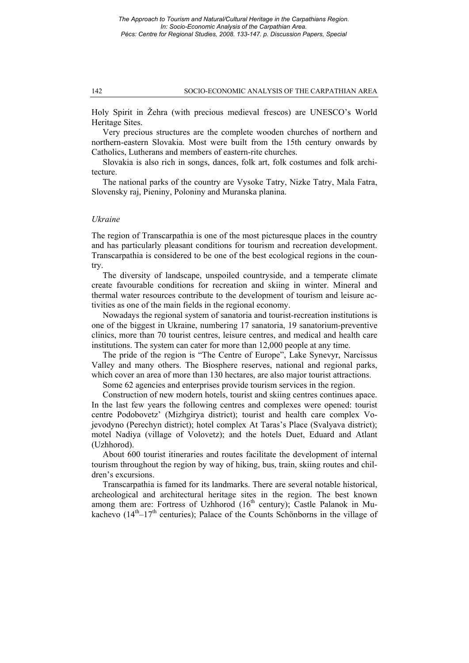Holy Spirit in Žehra (with precious medieval frescos) are UNESCO's World Heritage Sites.

Very precious structures are the complete wooden churches of northern and northern-eastern Slovakia. Most were built from the 15th century onwards by Catholics, Lutherans and members of eastern-rite churches.

Slovakia is also rich in songs, dances, folk art, folk costumes and folk architecture.

The national parks of the country are Vysoke Tatry, Nizke Tatry, Mala Fatra, Slovensky raj, Pieniny, Poloniny and Muranska planina.

# *Ukraine*

The region of Transcarpathia is one of the most picturesque places in the country and has particularly pleasant conditions for tourism and recreation development. Transcarpathia is considered to be one of the best ecological regions in the country.

The diversity of landscape, unspoiled countryside, and a temperate climate create favourable conditions for recreation and skiing in winter. Mineral and thermal water resources contribute to the development of tourism and leisure activities as one of the main fields in the regional economy.

Nowadays the regional system of sanatoria and tourist-recreation institutions is one of the biggest in Ukraine, numbering 17 sanatoria, 19 sanatorium-preventive clinics, more than 70 tourist centres, leisure centres, and medical and health care institutions. The system can cater for more than 12,000 people at any time.

The pride of the region is "The Centre of Europe", Lake Synevyr, Narcissus Valley and many others. The Biosphere reserves, national and regional parks, which cover an area of more than 130 hectares, are also major tourist attractions.

Some 62 agencies and enterprises provide tourism services in the region.

Construction of new modern hotels, tourist and skiing centres continues apace. In the last few years the following centres and complexes were opened: tourist centre Podobovetz' (Mizhgirya district); tourist and health care complex Vojevodyno (Perechyn district); hotel complex At Taras's Place (Svalyava district); motel Nadiya (village of Volovetz); and the hotels Duet, Eduard and Atlant (Uzhhorod).

About 600 tourist itineraries and routes facilitate the development of internal tourism throughout the region by way of hiking, bus, train, skiing routes and children's excursions.

Transcarpathia is famed for its landmarks. There are several notable historical, archeological and architectural heritage sites in the region. The best known among them are: Fortress of Uzhhorod  $(16<sup>th</sup>$  century); Castle Palanok in Mukachevo  $(14<sup>th</sup>-17<sup>th</sup>$  centuries); Palace of the Counts Schönborns in the village of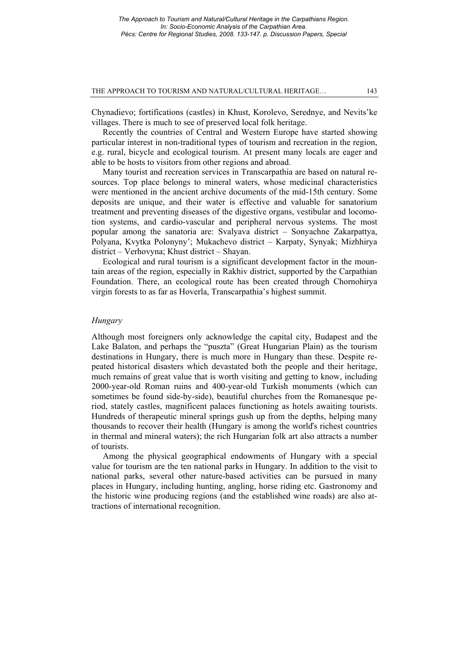Chynadievo; fortifications (castles) in Khust, Korolevo, Serednye, and Nevits'ke villages. There is much to see of preserved local folk heritage.

Recently the countries of Central and Western Europe have started showing particular interest in non-traditional types of tourism and recreation in the region, e.g. rural, bicycle and ecological tourism. At present many locals are eager and able to be hosts to visitors from other regions and abroad.

Many tourist and recreation services in Transcarpathia are based on natural resources. Top place belongs to mineral waters, whose medicinal characteristics were mentioned in the ancient archive documents of the mid-15th century. Some deposits are unique, and their water is effective and valuable for sanatorium treatment and preventing diseases of the digestive organs, vestibular and locomotion systems, and cardio-vascular and peripheral nervous systems. The most popular among the sanatoria are: Svalyava district – Sonyachne Zakarpattya, Polyana, Kvytka Polonyny'; Mukachevo district – Karpaty, Synyak; Mizhhirya district – Verhovyna; Khust district – Shayan.

Ecological and rural tourism is a significant development factor in the mountain areas of the region, especially in Rakhiv district, supported by the Carpathian Foundation. There, an ecological route has been created through Chornohirya virgin forests to as far as Hoverla, Transcarpathia's highest summit.

# *Hungary*

Although most foreigners only acknowledge the capital city, Budapest and the Lake Balaton, and perhaps the "puszta" (Great Hungarian Plain) as the tourism destinations in Hungary, there is much more in Hungary than these. Despite repeated historical disasters which devastated both the people and their heritage, much remains of great value that is worth visiting and getting to know, including 2000-year-old Roman ruins and 400-year-old Turkish monuments (which can sometimes be found side-by-side), beautiful churches from the Romanesque period, stately castles, magnificent palaces functioning as hotels awaiting tourists. Hundreds of therapeutic mineral springs gush up from the depths, helping many thousands to recover their health (Hungary is among the worlďs richest countries in thermal and mineral waters); the rich Hungarian folk art also attracts a number of tourists.

Among the physical geographical endowments of Hungary with a special value for tourism are the ten national parks in Hungary. In addition to the visit to national parks, several other nature-based activities can be pursued in many places in Hungary, including hunting, angling, horse riding etc. Gastronomy and the historic wine producing regions (and the established wine roads) are also attractions of international recognition.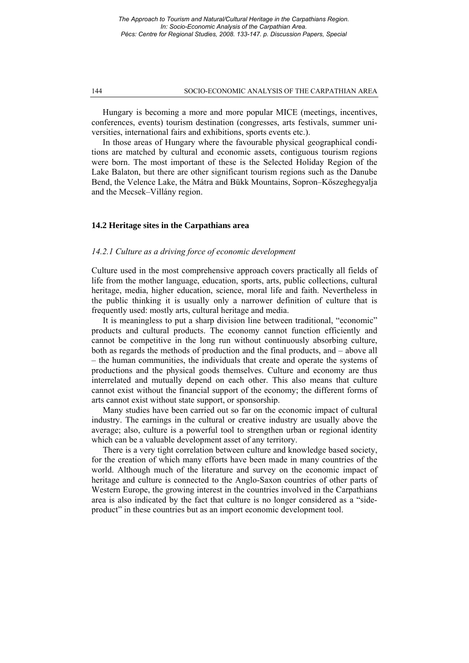Hungary is becoming a more and more popular MICE (meetings, incentives, conferences, events) tourism destination (congresses, arts festivals, summer universities, international fairs and exhibitions, sports events etc.).

In those areas of Hungary where the favourable physical geographical conditions are matched by cultural and economic assets, contiguous tourism regions were born. The most important of these is the Selected Holiday Region of the Lake Balaton, but there are other significant tourism regions such as the Danube Bend, the Velence Lake, the Mátra and Bükk Mountains, Sopron–Kőszeghegyalja and the Mecsek–Villány region.

# **14.2 Heritage sites in the Carpathians area**

# *14.2.1 Culture as a driving force of economic development*

Culture used in the most comprehensive approach covers practically all fields of life from the mother language, education, sports, arts, public collections, cultural heritage, media, higher education, science, moral life and faith. Nevertheless in the public thinking it is usually only a narrower definition of culture that is frequently used: mostly arts, cultural heritage and media.

It is meaningless to put a sharp division line between traditional, "economic" products and cultural products. The economy cannot function efficiently and cannot be competitive in the long run without continuously absorbing culture, both as regards the methods of production and the final products, and – above all – the human communities, the individuals that create and operate the systems of productions and the physical goods themselves. Culture and economy are thus interrelated and mutually depend on each other. This also means that culture cannot exist without the financial support of the economy; the different forms of arts cannot exist without state support, or sponsorship.

Many studies have been carried out so far on the economic impact of cultural industry. The earnings in the cultural or creative industry are usually above the average; also, culture is a powerful tool to strengthen urban or regional identity which can be a valuable development asset of any territory.

There is a very tight correlation between culture and knowledge based society, for the creation of which many efforts have been made in many countries of the world. Although much of the literature and survey on the economic impact of heritage and culture is connected to the Anglo-Saxon countries of other parts of Western Europe, the growing interest in the countries involved in the Carpathians area is also indicated by the fact that culture is no longer considered as a "sideproduct" in these countries but as an import economic development tool.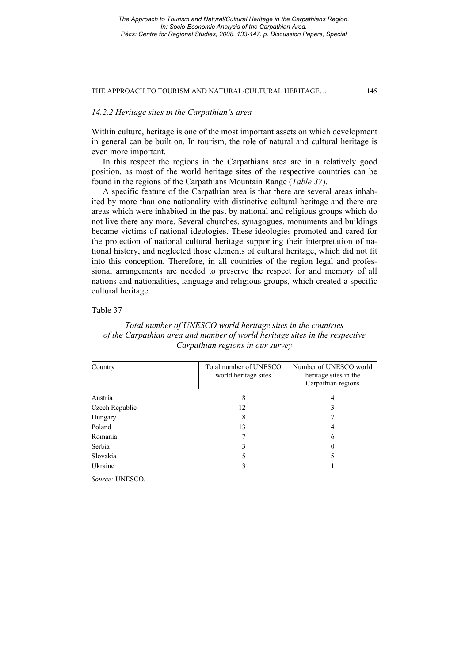# *14.2.2 Heritage sites in the Carpathian's area*

Within culture, heritage is one of the most important assets on which development in general can be built on. In tourism, the role of natural and cultural heritage is even more important.

In this respect the regions in the Carpathians area are in a relatively good position, as most of the world heritage sites of the respective countries can be found in the regions of the Carpathians Mountain Range (*Table 37*).

A specific feature of the Carpathian area is that there are several areas inhabited by more than one nationality with distinctive cultural heritage and there are areas which were inhabited in the past by national and religious groups which do not live there any more. Several churches, synagogues, monuments and buildings became victims of national ideologies. These ideologies promoted and cared for the protection of national cultural heritage supporting their interpretation of national history, and neglected those elements of cultural heritage, which did not fit into this conception. Therefore, in all countries of the region legal and professional arrangements are needed to preserve the respect for and memory of all nations and nationalities, language and religious groups, which created a specific cultural heritage.

# Table 37

# Country Total number of UNESCO world heritage sites Number of UNESCO world heritage sites in the Carpathian regions Austria 8 4 Czech Republic 12 3 Hungary 8 7 Poland 13 4 Romania  $\overline{7}$  6 Serbia 3 0 Slovakia 5 5 Ukraine 3 1

# *Total number of UNESCO world heritage sites in the countries of the Carpathian area and number of world heritage sites in the respective Carpathian regions in our survey*

*Source:* UNESCO.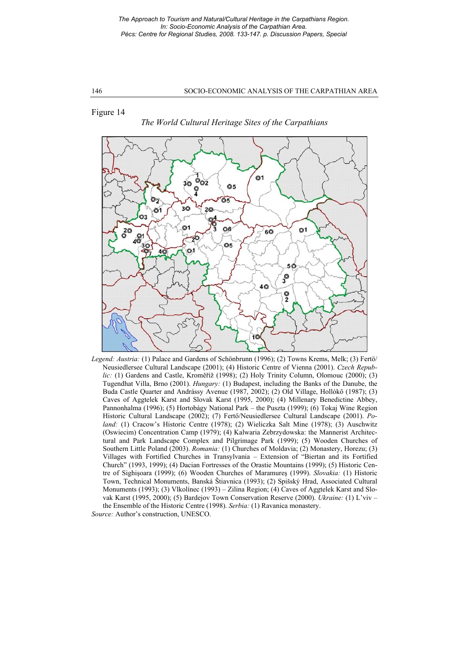Figure 14

## *The World Cultural Heritage Sites of the Carpathians*



*Legend: Austria:* (1) Palace and Gardens of Schönbrunn (1996); (2) Towns Krems, Melk; (3) Fertö/ Neusiedlersee Cultural Landscape (2001); (4) Historic Centre of Vienna (2001). *Czech Republic:* (1) Gardens and Castle, Kroměříž (1998); (2) Holy Trinity Column, Olomouc (2000); (3) Tugendhat Villa, Brno (2001). *Hungary:* (1) Budapest, including the Banks of the Danube, the Buda Castle Quarter and Andrássy Avenue (1987, 2002); (2) Old Village, Hollókő (1987); (3) Caves of Aggtelek Karst and Slovak Karst (1995, 2000); (4) Millenary Benedictine Abbey, Pannonhalma (1996); (5) Hortobágy National Park – the Puszta (1999); (6) Tokaj Wine Region Historic Cultural Landscape (2002); (7) Fertő/Neusiedlersee Cultural Landscape (2001). *Poland:* (1) Cracow's Historic Centre (1978); (2) Wieliczka Salt Mine (1978); (3) Auschwitz (Oswiecim) Concentration Camp (1979); (4) Kalwaria Zebrzydowska: the Mannerist Architectural and Park Landscape Complex and Pilgrimage Park (1999); (5) Wooden Churches of Southern Little Poland (2003). *Romania:* (1) Churches of Moldavia; (2) Monastery, Horezu; (3) Villages with Fortified Churches in Transylvania – Extension of "Biertan and its Fortified Church" (1993, 1999); (4) Dacian Fortresses of the Orastie Mountains (1999); (5) Historic Centre of Sighişoara (1999); (6) Wooden Churches of Maramureş (1999). *Slovakia:* (1) Historic Town, Technical Monuments, Banská Štiavnica (1993); (2) Spišský Hrad, Associated Cultural Monuments (1993); (3) Vlkolínec (1993) – Zilina Region; (4) Caves of Aggtelek Karst and Slovak Karst (1995, 2000); (5) Bardejov Town Conservation Reserve (2000). *Ukraine:* (1) L'viv – the Ensemble of the Historic Centre (1998). *Serbia:* (1) Ravanica monastery.

*Source:* Author's construction, UNESCO.